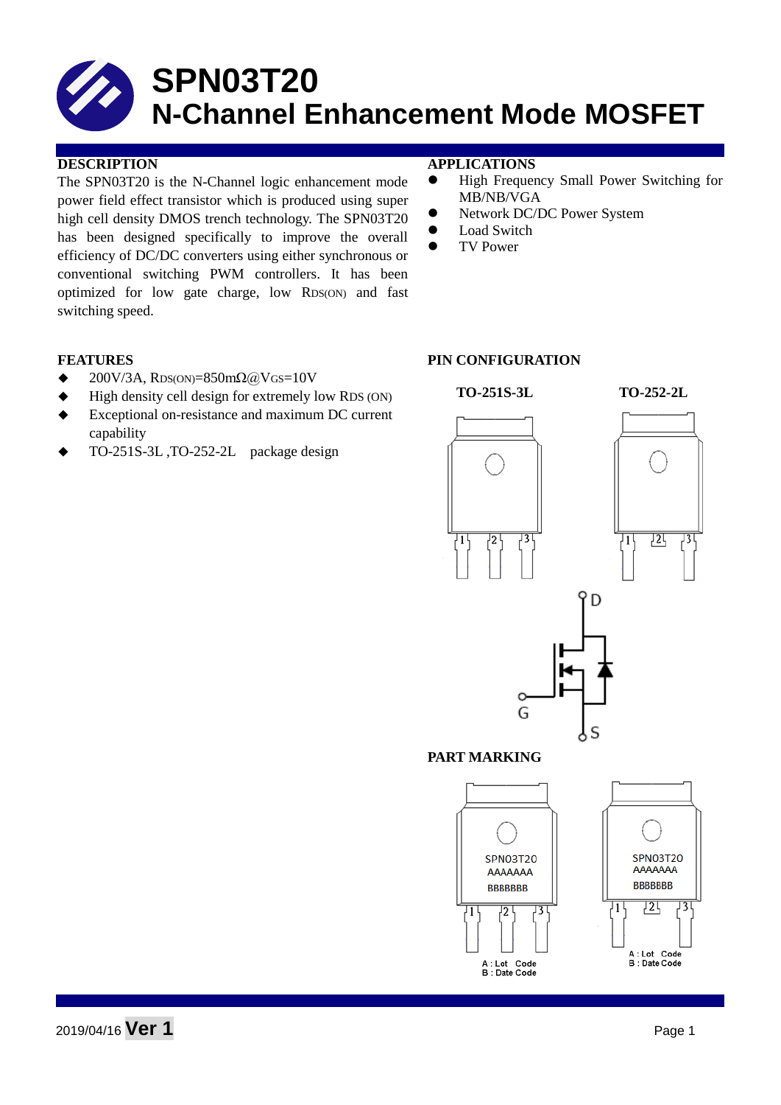The SPN03T20 is the N-Channel logic enhancement mode power field effect transistor which is produced using super high cell density DMOS trench technology. The SPN03T20 has been designed specifically to improve the overall efficiency of DC/DC converters using either synchronous or conventional switching PWM controllers. It has been optimized for low gate charge, low RDS(ON) and fast switching speed.

#### **DESCRIPTION APPLICATIONS**

- High Frequency Small Power Switching for MB/NB/VGA
- Network DC/DC Power System
- Load Switch
- TV Power

- $\triangleleft$  200V/3A, RDS(ON)=850m $\Omega$ @VGS=10V
- High density cell design for extremely low RDS (ON)
- Exceptional on-resistance and maximum DC current capability
- TO-251S-3L ,TO-252-2L package design

#### **FEATURES** PIN CONFIGURATION

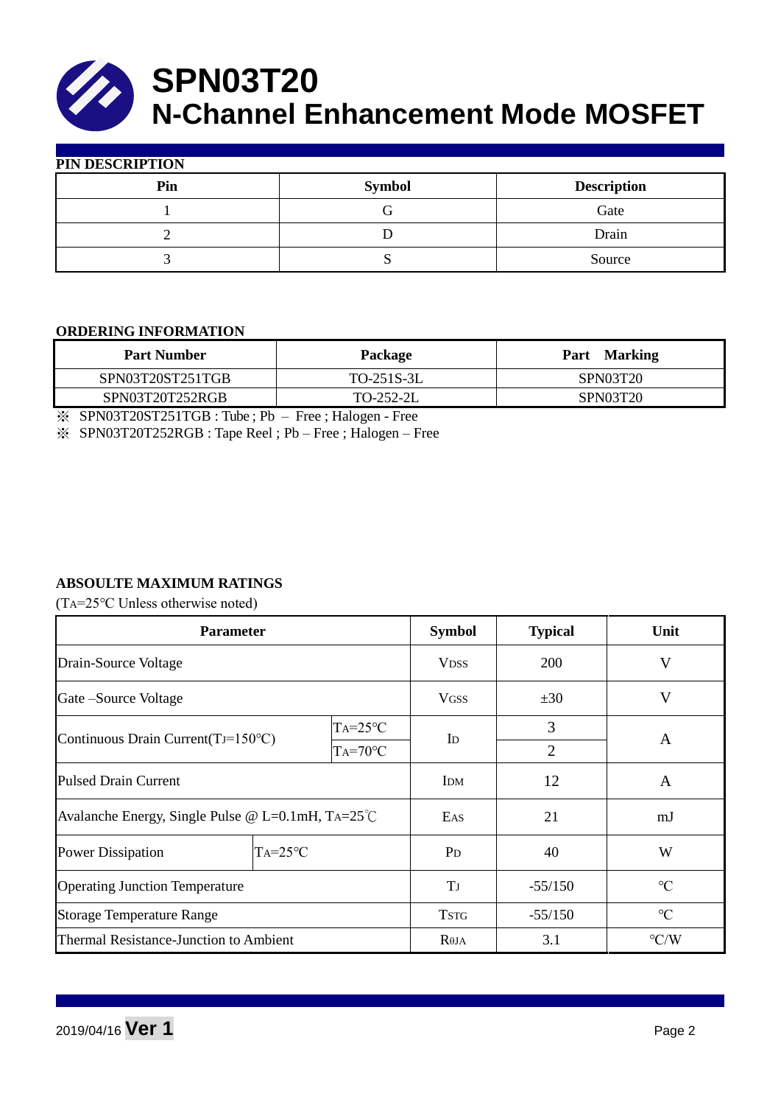

| PIN DESCRIPTION |               |                    |  |  |  |
|-----------------|---------------|--------------------|--|--|--|
| Pin             | <b>Symbol</b> | <b>Description</b> |  |  |  |
|                 |               | Gate               |  |  |  |
|                 |               | Drain              |  |  |  |
|                 |               | Source             |  |  |  |

#### **ORDERING INFORMATION**

| <b>Part Number</b> | Package    | Part Marking    |  |  |
|--------------------|------------|-----------------|--|--|
| SPN03T20ST251TGB   | TO-251S-3L | <b>SPN03T20</b> |  |  |
| SPN03T20T252RGB    | TO-252-2L  | SPN03T20        |  |  |
|                    |            |                 |  |  |

※ SPN03T20ST251TGB : Tube ; Pb – Free ; Halogen - Free

※ SPN03T20T252RGB : Tape Reel ; Pb – Free ; Halogen – Free

#### **ABSOULTE MAXIMUM RATINGS**

(TA=25℃ Unless otherwise noted)

| <b>Parameter</b>                                           |              |                  | <b>Symbol</b>        | <b>Typical</b>     | Unit            |  |
|------------------------------------------------------------|--------------|------------------|----------------------|--------------------|-----------------|--|
| Drain-Source Voltage                                       |              | <b>VDSS</b>      | 200                  | V                  |                 |  |
| Gate – Source Voltage                                      |              |                  | <b>VGSS</b>          | ±30                | $\mathbf V$     |  |
| $TA = 25$ °C                                               |              |                  |                      | 3                  |                 |  |
| Continuous Drain Current $(TJ=150^{\circ}C)$               |              | $TA=70^{\circ}C$ | Id<br>$\overline{2}$ |                    | A               |  |
| <b>Pulsed Drain Current</b>                                |              |                  | <b>IDM</b>           | 12                 | A               |  |
| Avalanche Energy, Single Pulse @ L=0.1mH, $TA=25^{\circ}C$ |              |                  | EAS                  | 21                 | mJ              |  |
| <b>Power Dissipation</b>                                   | $TA = 25$ °C |                  | P <sub>D</sub>       | 40                 | W               |  |
| <b>Operating Junction Temperature</b>                      |              | T                | $-55/150$            | $\rm ^{\circ}C$    |                 |  |
| <b>Storage Temperature Range</b>                           |              |                  | <b>TSTG</b>          | $-55/150$          | $\rm ^{\circ}C$ |  |
| Thermal Resistance-Junction to Ambient                     |              | $R\theta$ JA     | 3.1                  | $\rm ^{\circ} C/W$ |                 |  |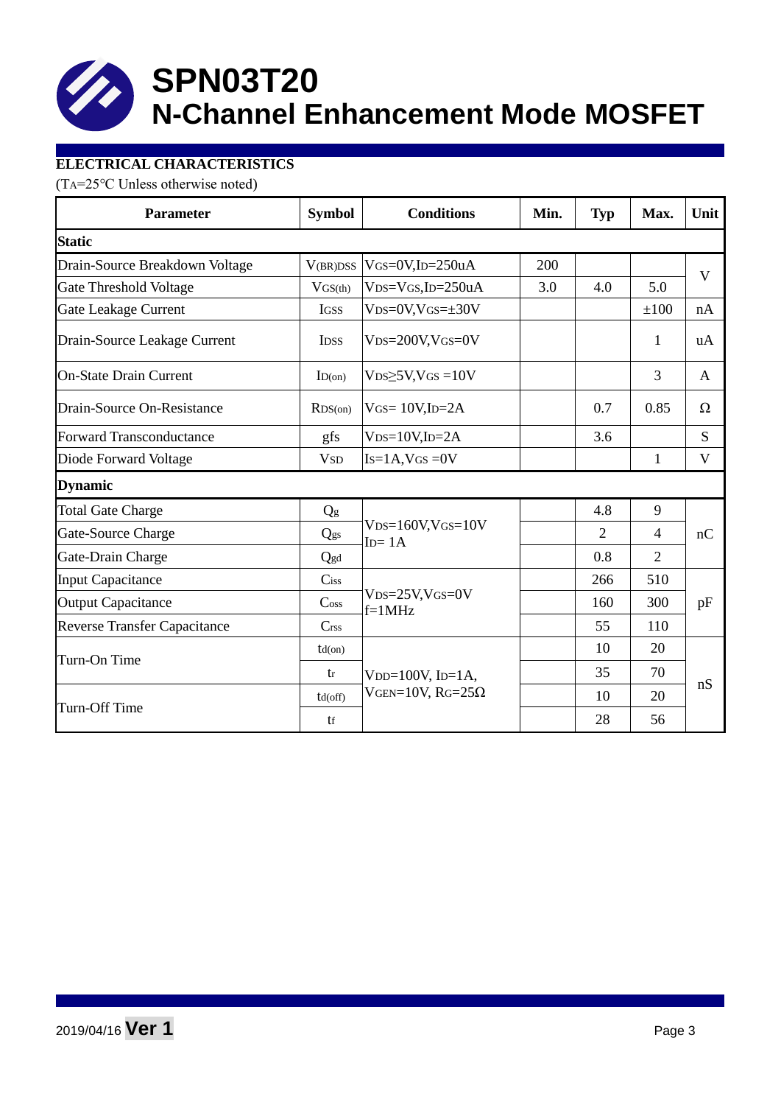

### **ELECTRICAL CHARACTERISTICS**

(TA=25℃ Unless otherwise noted)

| <b>Parameter</b>                    | <b>Symbol</b>               | <b>Conditions</b>                                  | Min. | <b>Typ</b>     | Max.           | Unit |  |
|-------------------------------------|-----------------------------|----------------------------------------------------|------|----------------|----------------|------|--|
| <b>Static</b>                       |                             |                                                    |      |                |                |      |  |
| Drain-Source Breakdown Voltage      | V(BR)DSS                    | $V$ GS=0V,ID=250uA                                 | 200  |                |                | V    |  |
| Gate Threshold Voltage              | $V$ GS(th)                  | $VDS=VGS$ , ID=250uA                               | 3.0  | 4.0            | 5.0            |      |  |
| Gate Leakage Current                | <b>IGSS</b>                 | $VDS=0V$ , $VGS=\pm 30V$                           |      |                | ±100           | nA   |  |
| Drain-Source Leakage Current        | <b>IDSS</b>                 | $VDS = 200V$ , $VGS = 0V$                          |      |                | 1              | uA   |  |
| <b>On-State Drain Current</b>       | ID(on)                      | $VDS \geq 5V$ , $VGS = 10V$                        |      |                | 3              | A    |  |
| Drain-Source On-Resistance          | RDS(0n)                     | $V$ GS= 10V,ID=2A                                  |      | 0.7            | 0.85           | Ω    |  |
| <b>Forward Transconductance</b>     | gfs                         | $VDS=10V$ , ID=2A                                  |      | 3.6            |                | S    |  |
| Diode Forward Voltage               | <b>V</b> <sub>SD</sub>      | $Is=1A$ , $VGS = 0V$                               |      |                | $\mathbf{1}$   | V    |  |
| <b>Dynamic</b>                      |                             |                                                    |      |                |                |      |  |
| <b>Total Gate Charge</b>            | Qg                          |                                                    |      | 4.8            | 9              |      |  |
| Gate-Source Charge                  | Qgs                         | $VDS=160V$ , $VGS=10V$<br>$ID = 1A$                |      | $\overline{2}$ | $\overline{4}$ | nC   |  |
| Gate-Drain Charge                   | Qgd                         |                                                    |      | 0.8            | $\overline{2}$ |      |  |
| <b>Input Capacitance</b>            | $C$ iss                     |                                                    |      | 266            | 510            |      |  |
| <b>Output Capacitance</b>           | $\mathrm{C}$ <sub>oss</sub> | $VDS = 25V$ , $VGS = 0V$<br>$f=1MHz$               |      | 160            | 300            | pF   |  |
| <b>Reverse Transfer Capacitance</b> | C <sub>rss</sub>            |                                                    |      | 55             | 110            |      |  |
|                                     | $td($ on $)$                |                                                    |      | 10             | 20             |      |  |
| Turn-On Time                        | tr                          | V <sub>DD</sub> = $100V$ , I <sub>D</sub> = $1A$ , |      | 35             | 70             | nS   |  |
|                                     | $td($ off $)$               | VGEN= $10V$ , RG= $25\Omega$                       |      | 10             | 20             |      |  |
| Turn-Off Time                       | tf                          |                                                    |      | 28             | 56             |      |  |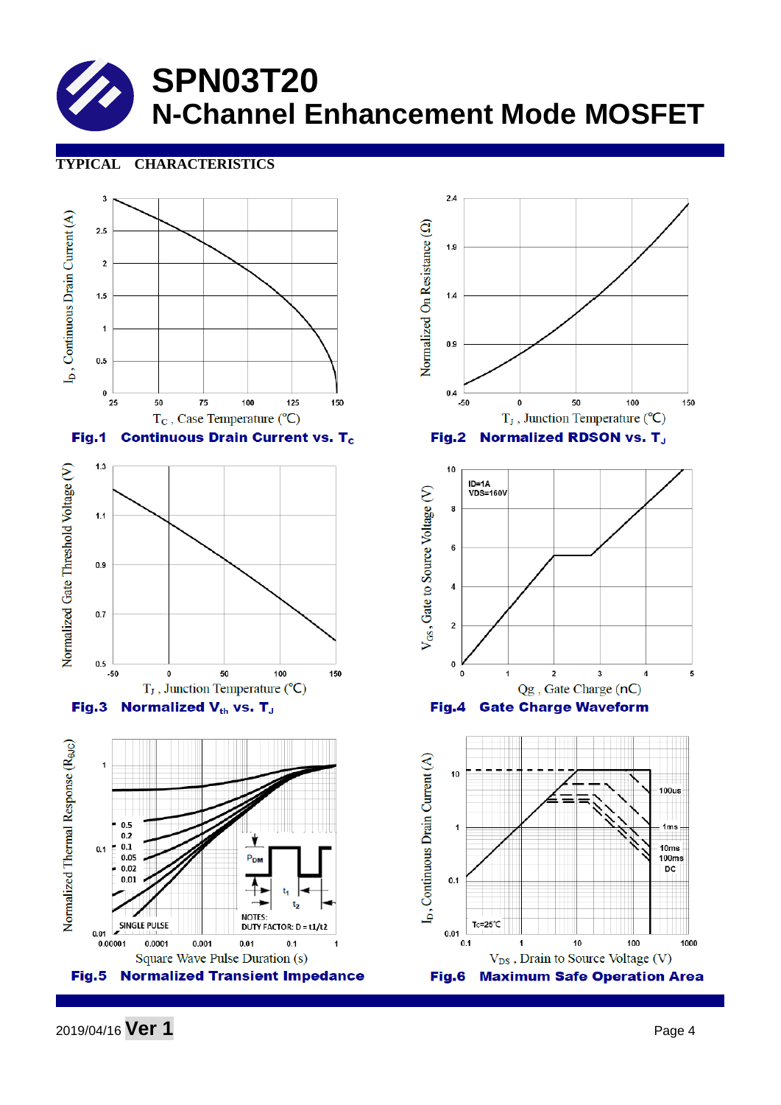#### **TYPICAL CHARACTERISTICS**



2019/04/16 **Ver 1** Page <sup>4</sup>

1000

150

5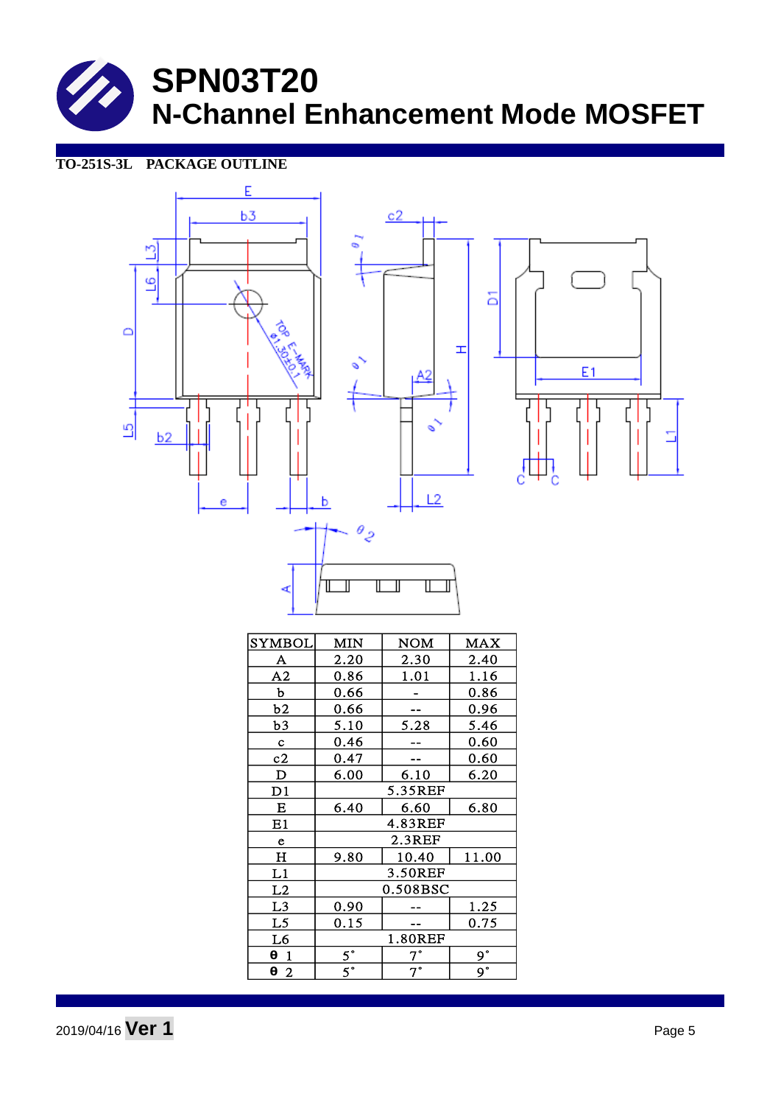**TO-251S-3L PACKAGE OUTLINE**





| <b>SYMBOL</b>  | MIN            | NOM         | <b>MAX</b>     |  |
|----------------|----------------|-------------|----------------|--|
| A              | 2.20           | 2.30        | 2.40           |  |
| A2             | 0.86           | 1.01        | 1.16           |  |
| $\mathbf b$    | 0.66           |             | 0.86           |  |
| b2             | 0.66           |             | 0.96           |  |
| b3             | 5.10           | 5.28        | 5.46           |  |
| $\mathbf c$    | 0.46           |             | 0.60           |  |
| c2             | 0.47           |             | 0.60           |  |
| $\mathbf D$    | 6.00           | 6.10        | 6.20           |  |
| D1             | 5.35REF        |             |                |  |
| E              | 6.40           | 6.60        | 6.80           |  |
| E1             | 4.83REF        |             |                |  |
| e              | $2.3$ REF      |             |                |  |
| $H_{\rm}$      | 9.80           | 10.40       | 11.00          |  |
| L1             | <b>3.50REF</b> |             |                |  |
| L2             | 0.508BSC       |             |                |  |
| L <sub>3</sub> | 0.90           |             | <u> 1.25</u>   |  |
| L5             | 0.15           |             | 0.75           |  |
| L6             | 1.80REF        |             |                |  |
| $\theta$ 1     | $5^\circ$      | 7°          | $9^{\circ}$    |  |
| $\theta$ 2     | $5^\circ$      | $7^{\circ}$ | 9 <sup>°</sup> |  |

2019/04/16 **Ver 1** Page <sup>5</sup>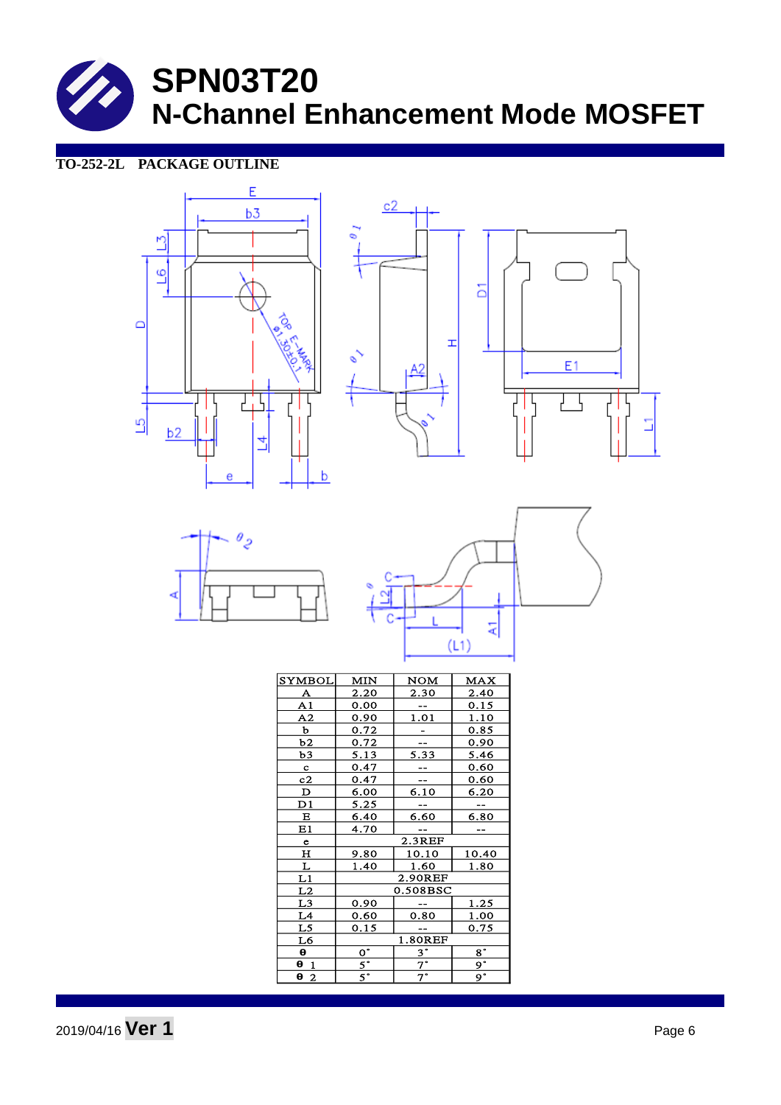> $\overline{\mathcal{L}}$ ₹

### **TO-252-2L PACKAGE OUTLINE**









| <b>SYMBOL</b>           | MIN                       | NOM               | MAX            |  |
|-------------------------|---------------------------|-------------------|----------------|--|
| <u>A</u>                | 2.20                      | <u>2.30</u>       | 2.40           |  |
| $\overline{A1}$         | 0.00                      |                   | 0.15           |  |
| $\overline{A2}$         | 0.90                      | 1.01              | 1.10           |  |
| b                       | 0.72                      |                   | 0.85           |  |
| b2                      | 0.72                      |                   | 0.90           |  |
| b3                      | 5.13                      | $\overline{5.33}$ | 5.46           |  |
| $\mathbf{c}$            | 0.47                      |                   | 0.60           |  |
| $\overline{c2}$         | 0.47                      |                   | 0.60           |  |
| $\overline{\mathbf{D}}$ | 6.00                      | $\overline{6.10}$ | <u>6.20</u>    |  |
| D1                      | 5.25                      |                   |                |  |
| Е                       | 6.40                      | 6.60              | 6.80           |  |
| E1                      | 4.70                      |                   |                |  |
| $\mathbf e$             | 2.3REF                    |                   |                |  |
| н                       | 9.80                      | 10.10             | 10.40          |  |
| L                       | 1.40                      | 1.60              | 1.80           |  |
| $\overline{L1}$         | 2.90REF                   |                   |                |  |
| L2                      | 0.508BSC                  |                   |                |  |
| L3                      | 0.90                      |                   | 1.25           |  |
| L4                      | 0.60                      | 0.80              | 1.00           |  |
| L <sub>5</sub>          | 0.15                      |                   | 0.75           |  |
| $\underline{L6}$        | 1.80REF                   |                   |                |  |
| θ                       | $\overline{\mathsf{o}}$ . | $3^\circ$         | $8^{\circ}$    |  |
| 0 <sub>1</sub>          | $rac{5}{5}$               | $\overline{7}$    | $\overline{9}$ |  |
| $\theta$ 2              |                           | $7^\circ$         | 9 <sup>°</sup> |  |